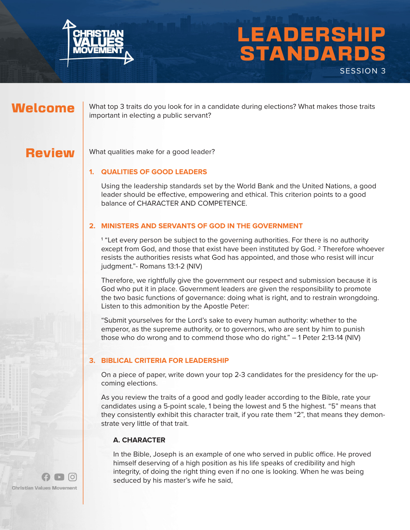

# LEADERSHIP STANDARDS SESSION 3

## Welcome

What top 3 traits do you look for in a candidate during elections? What makes those traits important in electing a public servant?

## **Review**

What qualities make for a good leader?

#### **1. QUALITIES OF GOOD LEADERS**

Using the leadership standards set by the World Bank and the United Nations, a good leader should be effective, empowering and ethical. This criterion points to a good balance of CHARACTER AND COMPETENCE.

#### **2. MINISTERS AND SERVANTS OF GOD IN THE GOVERNMENT**

1 "Let every person be subject to the governing authorities. For there is no authority except from God, and those that exist have been instituted by God. <sup>2</sup> Therefore whoever resists the authorities resists what God has appointed, and those who resist will incur judgment."- Romans 13:1-2 (NIV)

Therefore, we rightfully give the government our respect and submission because it is God who put it in place. Government leaders are given the responsibility to promote the two basic functions of governance: doing what is right, and to restrain wrongdoing. Listen to this admonition by the Apostle Peter:

"Submit yourselves for the Lord's sake to every human authority: whether to the emperor, as the supreme authority, or to governors, who are sent by him to punish those who do wrong and to commend those who do right." – 1 Peter 2:13-14 (NIV)

#### **3. BIBLICAL CRITERIA FOR LEADERSHIP**

On a piece of paper, write down your top 2-3 candidates for the presidency for the upcoming elections.

As you review the traits of a good and godly leader according to the Bible, rate your candidates using a 5-point scale, 1 being the lowest and 5 the highest. "5" means that they consistently exhibit this character trait, if you rate them "2", that means they demonstrate very little of that trait.

#### **A. CHARACTER**

In the Bible, Joseph is an example of one who served in public office. He proved himself deserving of a high position as his life speaks of credibility and high integrity, of doing the right thing even if no one is looking. When he was being seduced by his master's wife he said,

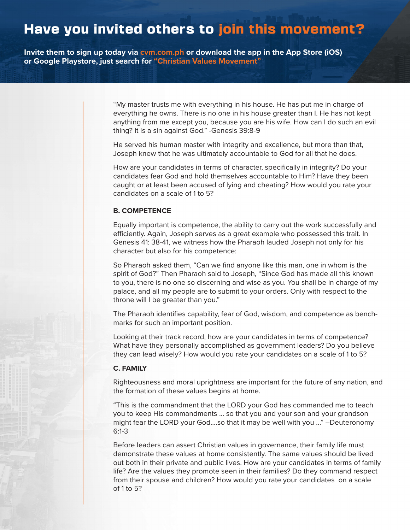# Have you invited others to join this movement?

**Invite them to sign up today via cvm.com.ph or download the app in the App Store (iOS) or Google Playstore, just search for "Christian Values Movement"**

> "My master trusts me with everything in his house. He has put me in charge of everything he owns. There is no one in his house greater than I. He has not kept anything from me except you, because you are his wife. How can I do such an evil thing? It is a sin against God." -Genesis 39:8-9

He served his human master with integrity and excellence, but more than that, Joseph knew that he was ultimately accountable to God for all that he does.

How are your candidates in terms of character, specifically in integrity? Do your candidates fear God and hold themselves accountable to Him? Have they been caught or at least been accused of lying and cheating? How would you rate your candidates on a scale of 1 to 5?

#### **B. COMPETENCE**

Equally important is competence, the ability to carry out the work successfully and efficiently. Again, Joseph serves as a great example who possessed this trait. In Genesis 41: 38-41, we witness how the Pharaoh lauded Joseph not only for his character but also for his competence:

So Pharaoh asked them, "Can we find anyone like this man, one in whom is the spirit of God?" Then Pharaoh said to Joseph, "Since God has made all this known to you, there is no one so discerning and wise as you. You shall be in charge of my palace, and all my people are to submit to your orders. Only with respect to the throne will I be greater than you."

The Pharaoh identifies capability, fear of God, wisdom, and competence as benchmarks for such an important position.

Looking at their track record, how are your candidates in terms of competence? What have they personally accomplished as government leaders? Do you believe they can lead wisely? How would you rate your candidates on a scale of 1 to 5?

#### **C. FAMILY**

Righteousness and moral uprightness are important for the future of any nation, and the formation of these values begins at home.

"This is the commandment that the LORD your God has commanded me to teach you to keep His commandments ... so that you and your son and your grandson might fear the LORD your God....so that it may be well with you ..." –Deuteronomy 6:1-3

Before leaders can assert Christian values in governance, their family life must demonstrate these values at home consistently. The same values should be lived out both in their private and public lives. How are your candidates in terms of family life? Are the values they promote seen in their families? Do they command respect from their spouse and children? How would you rate your candidates on a scale of 1 to 5?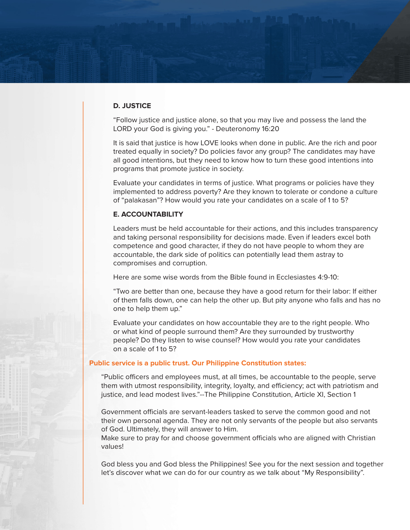#### **D. JUSTICE**

"Follow justice and justice alone, so that you may live and possess the land the LORD your God is giving you." - Deuteronomy 16:20

It is said that justice is how LOVE looks when done in public. Are the rich and poor treated equally in society? Do policies favor any group? The candidates may have all good intentions, but they need to know how to turn these good intentions into programs that promote justice in society.

Evaluate your candidates in terms of justice. What programs or policies have they implemented to address poverty? Are they known to tolerate or condone a culture of "palakasan"? How would you rate your candidates on a scale of 1 to 5?

#### **E. ACCOUNTABILITY**

Leaders must be held accountable for their actions, and this includes transparency and taking personal responsibility for decisions made. Even if leaders excel both competence and good character, if they do not have people to whom they are accountable, the dark side of politics can potentially lead them astray to compromises and corruption.

Here are some wise words from the Bible found in Ecclesiastes 4:9-10:

"Two are better than one, because they have a good return for their labor: If either of them falls down, one can help the other up. But pity anyone who falls and has no one to help them up."

Evaluate your candidates on how accountable they are to the right people. Who or what kind of people surround them? Are they surrounded by trustworthy people? Do they listen to wise counsel? How would you rate your candidates on a scale of 1 to 5?

#### **Public service is a public trust. Our Philippine Constitution states:**

"Public officers and employees must, at all times, be accountable to the people, serve them with utmost responsibility, integrity, loyalty, and efficiency; act with patriotism and justice, and lead modest lives."--The Philippine Constitution, Article XI, Section 1

Government officials are servant-leaders tasked to serve the common good and not their own personal agenda. They are not only servants of the people but also servants of God. Ultimately, they will answer to Him.

Make sure to pray for and choose government officials who are aligned with Christian values!

God bless you and God bless the Philippines! See you for the next session and together let's discover what we can do for our country as we talk about "My Responsibility".